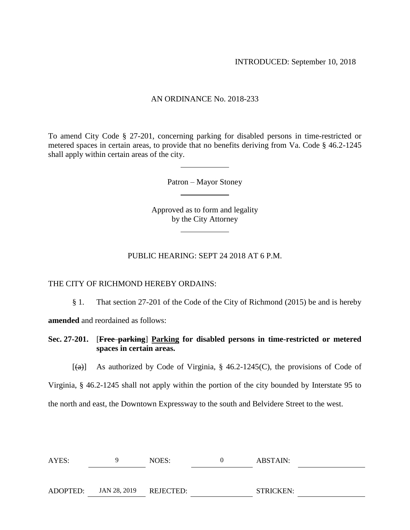INTRODUCED: September 10, 2018

## AN ORDINANCE No. 2018-233

To amend City Code § 27-201, concerning parking for disabled persons in time-restricted or metered spaces in certain areas, to provide that no benefits deriving from Va. Code § 46.2-1245 shall apply within certain areas of the city.

Patron – Mayor Stoney

Approved as to form and legality by the City Attorney

## PUBLIC HEARING: SEPT 24 2018 AT 6 P.M.

## THE CITY OF RICHMOND HEREBY ORDAINS:

§ 1. That section 27-201 of the Code of the City of Richmond (2015) be and is hereby

**amended** and reordained as follows:

**Sec. 27-201.** [**Free parking**] **Parking for disabled persons in time-restricted or metered spaces in certain areas.**

 $[(a)]$  As authorized by Code of Virginia, § 46.2-1245(C), the provisions of Code of

Virginia, § 46.2-1245 shall not apply within the portion of the city bounded by Interstate 95 to

the north and east, the Downtown Expressway to the south and Belvidere Street to the west.

| AYES:    | <b>y</b>               | NOES: | $\theta$ | ABSTAIN:  |
|----------|------------------------|-------|----------|-----------|
|          |                        |       |          |           |
| ADOPTED: | JAN 28, 2019 REJECTED: |       |          | STRICKEN: |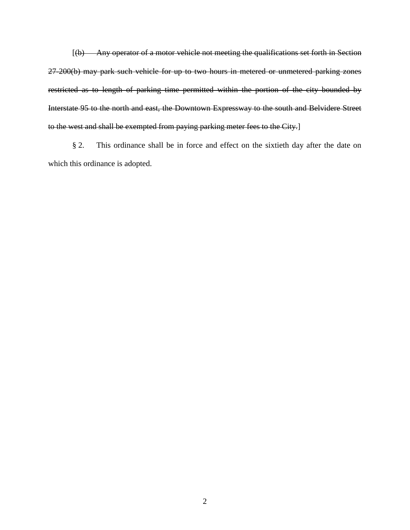[(b) Any operator of a motor vehicle not meeting the qualifications set forth in Section 27-200(b) may park such vehicle for up to two hours in metered or unmetered parking zones restricted as to length of parking time permitted within the portion of the city bounded by Interstate 95 to the north and east, the Downtown Expressway to the south and Belvidere Street to the west and shall be exempted from paying parking meter fees to the City.]

§ 2. This ordinance shall be in force and effect on the sixtieth day after the date on which this ordinance is adopted.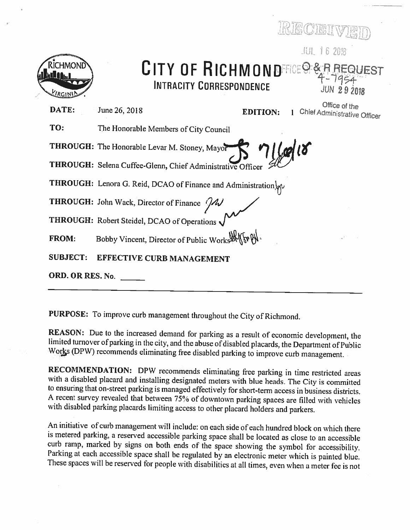

## CITY OF RICHMONDECE SEREQUEST **INTRACITY CORRESPONDENCE**

JUN 292018

DATE: June 26, 2018 **EDITION:** 

Office of the 1 Chief Administrative Officer

JUL 16 2018

TO: The Honorable Members of City Council

THROUGH: The Honorable Levar M. Stoney, Mayor

THROUGH: Selena Cuffee-Glenn, Chief Administrative Officer

THROUGH: Lenora G. Reid, DCAO of Finance and Administration.

THROUGH: John Wack, Director of Finance //

THROUGH: Robert Steidel, DCAO of Operations

Bobby Vincent, Director of Public Works War **FROM:** 

**SUBJECT: EFFECTIVE CURB MANAGEMENT** 

ORD. OR RES. No.

PURPOSE: To improve curb management throughout the City of Richmond.

REASON: Due to the increased demand for parking as a result of economic development, the limited turnover of parking in the city, and the abuse of disabled placards, the Department of Public Works (DPW) recommends eliminating free disabled parking to improve curb management.

RECOMMENDATION: DPW recommends eliminating free parking in time restricted areas with a disabled placard and installing designated meters with blue heads. The City is committed to ensuring that on-street parking is managed effectively for short-term access in business districts. A recent survey revealed that between 75% of downtown parking spaces are filled with vehicles with disabled parking placards limiting access to other placard holders and parkers.

An initiative of curb management will include: on each side of each hundred block on which there is metered parking, a reserved accessible parking space shall be located as close to an accessible curb ramp, marked by signs on both ends of the space showing the symbol for accessibility. Parking at each accessible space shall be regulated by an electronic meter which is painted blue. These spaces will be reserved for people with disabilities at all times, even when a meter fee is not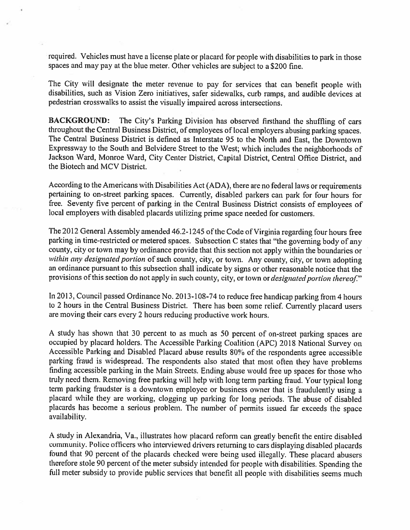required. Vehicles must have a license plate or placard for people with disabilities to park in those spaces and may pay at the blue meter. Other vehicles are subject to a \$200 fine.

The City will designate the meter revenue to pay for services that can benefit people with disabilities, such as Vision Zero initiatives, safer sidewalks, curb ramps, and audible devices at pedestrian crosswalks to assist the visually impaired across intersections.

**BACKGROUND:** The City's Parking Division has observed firsthand the shuffling of cars throughout the Central Business District, of employees of local employers abusing parking spaces. The Central Business District is defined as Interstate 95 to the North and East, the Downtown Expressway to the South and Belvidere Street to the West; which includes the neighborhoods of Jackson Ward, Monroe Ward, City Center District, Capital District, Central Office District, and the Biotech and MCV District.

According to the Americans with Disabilities Act (ADA), there are no federal laws or requirements pertaining to on-street parking spaces. Currently, disabled parkers can park for four hours for free. Seventy five percent of parking in the Central Business District consists of employees of local employers with disabled placards utilizing prime space needed for customers.

The 2012 General Assembly amended 46.2-1245 of the Code of Virginia regarding four hours free parking in time-restricted or metered spaces. Subsection C states that "the governing body of any county, city or town may by ordinance provide that this section not apply within the boundaries or within any designated portion of such county, city, or town. Any county, city, or town adopting an ordinance pursuant to this subsection shall indicate by signs or other reasonable notice that the provisions of this section do not apply in such county, city, or town or *designated portion thereof.*"

In 2013, Council passed Ordinance No. 2013-108-74 to reduce free handicap parking from 4 hours to 2 hours in the Central Business District. There has been some relief. Currently placard users are moving their cars every 2 hours reducing productive work hours.

A study has shown that 30 percent to as much as 50 percent of on-street parking spaces are occupied by placard holders. The Accessible Parking Coalition (APC) 2018 National Survey on Accessible Parking and Disabled Placard abuse results 80% of the respondents agree accessible parking fraud is widespread. The respondents also stated that most often they have problems finding accessible parking in the Main Streets. Ending abuse would free up spaces for those who truly need them. Removing free parking will help with long term parking fraud. Your typical long term parking fraudster is a downtown employee or business owner that is fraudulently using a placard while they are working, clogging up parking for long periods. The abuse of disabled placards has become a serious problem. The number of permits issued far exceeds the space availability.

A study in Alexandria, Va., illustrates how placard reform can greatly benefit the entire disabled community. Police officers who interviewed drivers returning to cars displaying disabled placards found that 90 percent of the placards checked were being used illegally. These placard abusers therefore stole 90 percent of the meter subsidy intended for people with disabilities. Spending the full meter subsidy to provide public services that benefit all people with disabilities seems much